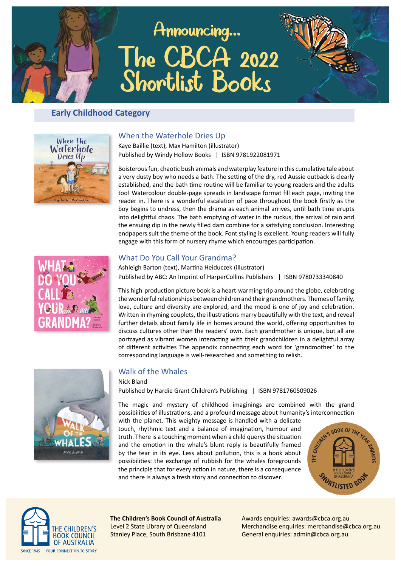# Announcing... The CBCA 2022<br>Shortlist Books



## **Early Childhood Category**



#### When the Waterhole Dries Up

Kaye Baillie (text), Max Hamilton (illustrator) Published by Windy Hollow Books | ISBN 9781922081971

Boisterous fun, chaotic bush animals and waterplay feature in this cumulative tale about a very dusty boy who needs a bath. The setting of the dry, red Aussie outback is clearly established, and the bath time routine will be familiar to young readers and the adults too! Watercolour double-page spreads in landscape format fill each page, inviting the reader in. There is a wonderful escalation of pace throughout the book firstly as the boy begins to undress, then the drama as each animal arrives, until bath time erupts into delightful chaos. The bath emptying of water in the ruckus, the arrival of rain and the ensuing dip in the newly filled dam combine for a satisfying conclusion. Interesting endpapers suit the theme of the book. Font styling is excellent. Young readers will fully engage with this form of nursery rhyme which encourages participation.



## What Do You Call Your Grandma?

Ashleigh Barton (text), Martina Heiduczek (illustrator) Published by ABC: An Imprint of HarperCollins Publishers | ISBN 9780733340840

This high-production picture book is a heart-warming trip around the globe, celebrating the wonderful relationships between children and their grandmothers. Themes of family, love, culture and diversity are explored, and the mood is one of joy and celebration. Written in rhyming couplets, the illustrations marry beautifully with the text, and reveal further details about family life in homes around the world, offering opportunities to discuss cultures other than the readers' own. Each grandmother is unique, but all are portrayed as vibrant women interacting with their grandchildren in a delightful array of different activities The appendix connecting each word for 'grandmother' to the corresponding language is well-researched and something to relish.



## **Walk of the Whales**

Nick Bland Published by Hardie Grant Children's Publishing | ISBN 9781760509026

The magic and mystery of childhood imaginings are combined with the grand possibilities of illustrations, and a profound message about humanity's interconnection

with the planet. This weighty message is handled with a delicate touch, rhythmic text and a balance of imagination, humour and truth. There is a touching moment when a child querys the situation and the emotion in the whale's blunt reply is beautifully framed by the tear in its eye. Less about pollution, this is a book about possibilities: the exchange of rubbish for the whales foregrounds the principle that for every action in nature, there is a consequence and there is always a fresh story and connection to discover.





The Children's Book Council of Australia Level 2 State Library of Queensland Stanley Place, South Brisbane 4101

Awards enquiries: awards@cbca.org.au Merchandise enquiries: merchandise@cbca.org.au General enquiries: admin@cbca.org.au